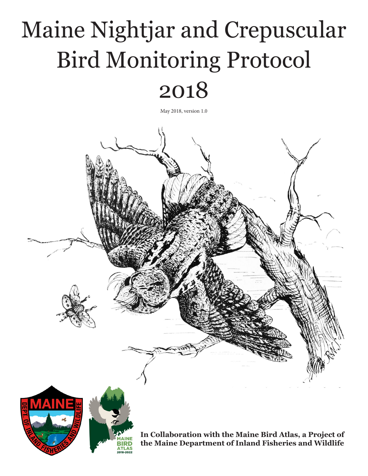# Maine Nightjar and Crepuscular Bird Monitoring Protocol

# 2018

May 2018, version 1.0

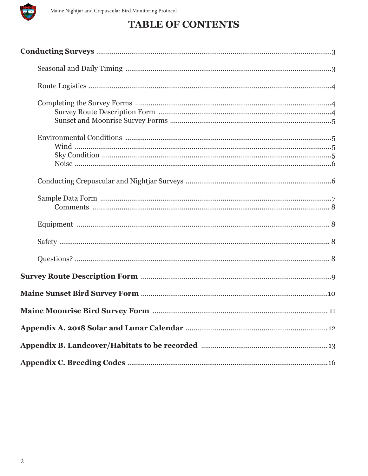

## **TABLE OF CONTENTS**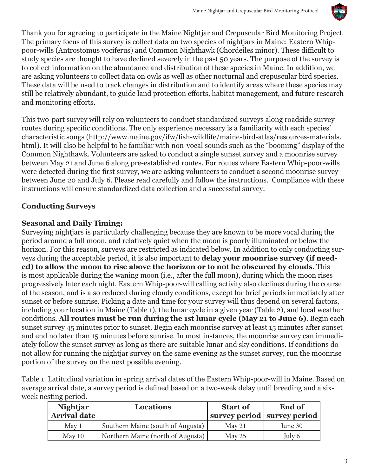

Thank you for agreeing to participate in the Maine Nightjar and Crepuscular Bird Monitoring Project. The primary focus of this survey is collect data on two species of nightjars in Maine: Eastern Whippoor-wills (Antrostomus vociferus) and Common Nighthawk (Chordeiles minor). These difficult to study species are thought to have declined severely in the past 50 years. The purpose of the survey is to collect information on the abundance and distribution of these species in Maine. In addition, we are asking volunteers to collect data on owls as well as other nocturnal and crepuscular bird species. These data will be used to track changes in distribution and to identify areas where these species may still be relatively abundant, to guide land protection efforts, habitat management, and future research and monitoring efforts.

This two-part survey will rely on volunteers to conduct standardized surveys along roadside survey routes during specific conditions. The only experience necessary is a familiarity with each species' characteristic songs (http://www.maine.gov/ifw/fish-wildlife/maine-bird-atlas/resources-materials. html). It will also be helpful to be familiar with non-vocal sounds such as the "booming" display of the Common Nighthawk. Volunteers are asked to conduct a single sunset survey and a moonrise survey between May 21 and June 6 along pre-established routes. For routes where Eastern Whip-poor-wills were detected during the first survey, we are asking volunteers to conduct a second moonrise survey between June 20 and July 6. Please read carefully and follow the instructions. Compliance with these instructions will ensure standardized data collection and a successful survey.

#### **Conducting Surveys**

#### **Seasonal and Daily Timing:**

Surveying nightjars is particularly challenging because they are known to be more vocal during the period around a full moon, and relatively quiet when the moon is poorly illuminated or below the horizon. For this reason, surveys are restricted as indicated below. In addition to only conducting surveys during the acceptable period, it is also important to **delay your moonrise survey (if needed) to allow the moon to rise above the horizon or to not be obscured by clouds**. This is most applicable during the waning moon (i.e., after the full moon), during which the moon rises progressively later each night. Eastern Whip-poor-will calling activity also declines during the course of the season, and is also reduced during cloudy conditions, except for brief periods immediately after sunset or before sunrise. Picking a date and time for your survey will thus depend on several factors, including your location in Maine (Table 1), the lunar cycle in a given year (Table 2), and local weather conditions. **All routes must be run during the 1st lunar cycle (May 21 to June 6)**. Begin each sunset survey 45 minutes prior to sunset. Begin each moonrise survey at least 15 minutes after sunset and end no later than 15 minutes before sunrise. In most instances, the moonrise survey can immediately follow the sunset survey as long as there are suitable lunar and sky conditions. If conditions do not allow for running the nightjar survey on the same evening as the sunset survey, run the moonrise portion of the survey on the next possible evening.

Table 1. Latitudinal variation in spring arrival dates of the Eastern Whip-poor-will in Maine. Based on average arrival date, a survey period is defined based on a two-week delay until breeding and a sixweek nesting period.

| <b>Nightjar</b><br><b>Arrival date</b> | <b>Locations</b>                  | <b>Start of</b> | <b>End of</b><br>survey period   survey period |
|----------------------------------------|-----------------------------------|-----------------|------------------------------------------------|
| $M$ ay 1                               | Southern Maine (south of Augusta) | $M$ ay 21       | June 30                                        |
| May 10                                 | Northern Maine (north of Augusta) | $M$ ay 25       | July 6                                         |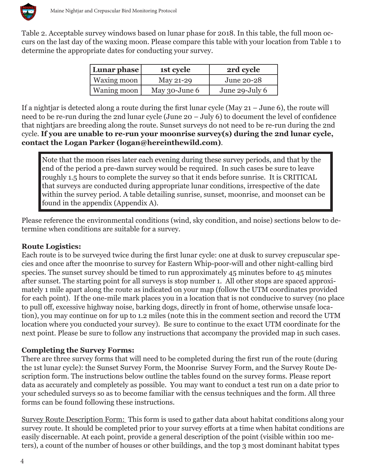

Table 2. Acceptable survey windows based on lunar phase for 2018. In this table, the full moon occurs on the last day of the waxing moon. Please compare this table with your location from Table 1 to determine the appropriate dates for conducting your survey.

| Lunar phase   | 1st cycle     | 2rd cycle      |
|---------------|---------------|----------------|
| Waxing moon   | May 21-29     | June 20-28     |
| Waning moon ' | May 30-June 6 | June 29-July 6 |

If a nightjar is detected along a route during the first lunar cycle (May 21 – June 6), the route will need to be re-run during the 2nd lunar cycle (June 20 – July 6) to document the level of confidence that nightjars are breeding along the route. Sunset surveys do not need to be re-run during the 2nd cycle. **If you are unable to re-run your moonrise survey(s) during the 2nd lunar cycle, contact the Logan Parker (logan@hereinthewild.com)**.

Note that the moon rises later each evening during these survey periods, and that by the end of the period a pre-dawn survey would be required. In such cases be sure to leave roughly 1.5 hours to complete the survey so that it ends before sunrise. It is CRITICAL that surveys are conducted during appropriate lunar conditions, irrespective of the date within the survey period. A table detailing sunrise, sunset, moonrise, and moonset can be found in the appendix (Appendix A).

Please reference the environmental conditions (wind, sky condition, and noise) sections below to determine when conditions are suitable for a survey.

#### **Route Logistics:**

Each route is to be surveyed twice during the first lunar cycle: one at dusk to survey crepuscular species and once after the moonrise to survey for Eastern Whip-poor-will and other night-calling bird species. The sunset survey should be timed to run approximately 45 minutes before to 45 minutes after sunset. The starting point for all surveys is stop number 1. All other stops are spaced approximately 1 mile apart along the route as indicated on your map (follow the UTM coordinates provided for each point). If the one-mile mark places you in a location that is not conducive to survey (no place to pull off, excessive highway noise, barking dogs, directly in front of home, otherwise unsafe location), you may continue on for up to 1.2 miles (note this in the comment section and record the UTM location where you conducted your survey). Be sure to continue to the exact UTM coordinate for the next point. Please be sure to follow any instructions that accompany the provided map in such cases.

#### **Completing the Survey Forms:**

There are three survey forms that will need to be completed during the first run of the route (during the 1st lunar cycle): the Sunset Survey Form, the Moonrise Survey Form, and the Survey Route Description form. The instructions below outline the tables found on the survey forms. Please report data as accurately and completely as possible. You may want to conduct a test run on a date prior to your scheduled surveys so as to become familiar with the census techniques and the form. All three forms can be found following these instructions.

Survey Route Description Form: This form is used to gather data about habitat conditions along your survey route. It should be completed prior to your survey efforts at a time when habitat conditions are easily discernable. At each point, provide a general description of the point (visible within 100 meters), a count of the number of houses or other buildings, and the top 3 most dominant habitat types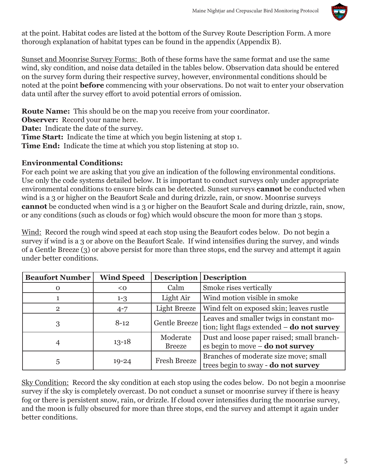

at the point. Habitat codes are listed at the bottom of the Survey Route Description Form. A more thorough explanation of habitat types can be found in the appendix (Appendix B).

Sunset and Moonrise Survey Forms: Both of these forms have the same format and use the same wind, sky condition, and noise data detailed in the tables below. Observation data should be entered on the survey form during their respective survey, however, environmental conditions should be noted at the point **before** commencing with your observations. Do not wait to enter your observation data until after the survey effort to avoid potential errors of omission.

**Route Name:** This should be on the map you receive from your coordinator.

**Observer:** Record your name here.

**Date:** Indicate the date of the survey.

**Time Start:** Indicate the time at which you begin listening at stop 1.

**Time End:** Indicate the time at which you stop listening at stop 10.

#### **Environmental Conditions:**

For each point we are asking that you give an indication of the following environmental conditions. Use only the code systems detailed below. It is important to conduct surveys only under appropriate environmental conditions to ensure birds can be detected. Sunset surveys **cannot** be conducted when wind is a 3 or higher on the Beaufort Scale and during drizzle, rain, or snow. Moonrise surveys **cannot** be conducted when wind is a 3 or higher on the Beaufort Scale and during drizzle, rain, snow, or any conditions (such as clouds or fog) which would obscure the moon for more than 3 stops.

Wind: Record the rough wind speed at each stop using the Beaufort codes below. Do not begin a survey if wind is a 3 or above on the Beaufort Scale. If wind intensifies during the survey, and winds of a Gentle Breeze (3) or above persist for more than three stops, end the survey and attempt it again under better conditions.

| <b>Beaufort Number</b> | <b>Wind Speed</b> | <b>Description</b>        | <b>Description</b>                                                                       |
|------------------------|-------------------|---------------------------|------------------------------------------------------------------------------------------|
| $\Omega$               | < 0               | Calm                      | Smoke rises vertically                                                                   |
|                        | $1-3$             | Light Air                 | Wind motion visible in smoke                                                             |
| $\overline{2}$         | $4 - 7$           | Light Breeze              | Wind felt on exposed skin; leaves rustle                                                 |
| 3                      | $8 - 12$          | <b>Gentle Breeze</b>      | Leaves and smaller twigs in constant mo-<br>tion; light flags extended $-$ do not survey |
| 4                      | $13 - 18$         | Moderate<br><b>Breeze</b> | Dust and loose paper raised; small branch-<br>es begin to move $-$ do not survey         |
| 5                      | $19 - 24$         | Fresh Breeze              | Branches of moderate size move; small<br>trees begin to sway - do not survey             |

Sky Condition: Record the sky condition at each stop using the codes below. Do not begin a moonrise survey if the sky is completely overcast. Do not conduct a sunset or moonrise survey if there is heavy fog or there is persistent snow, rain, or drizzle. If cloud cover intensifies during the moonrise survey, and the moon is fully obscured for more than three stops, end the survey and attempt it again under better conditions.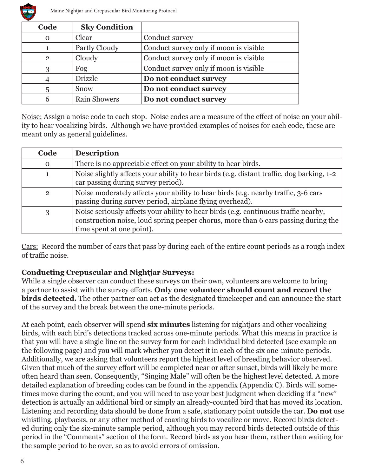

| Code           | <b>Sky Condition</b> |                                        |
|----------------|----------------------|----------------------------------------|
| $\Omega$       | Clear                | Conduct survey                         |
|                | Partly Cloudy        | Conduct survey only if moon is visible |
| $\overline{2}$ | Cloudy               | Conduct survey only if moon is visible |
| 3              | Fog                  | Conduct survey only if moon is visible |
|                | <b>Drizzle</b>       | Do not conduct survey                  |
|                | Snow                 | Do not conduct survey                  |
|                | <b>Rain Showers</b>  | Do not conduct survey                  |

Noise: Assign a noise code to each stop. Noise codes are a measure of the effect of noise on your ability to hear vocalizing birds. Although we have provided examples of noises for each code, these are meant only as general guidelines.

| Code           | <b>Description</b>                                                                                                                                                                                     |
|----------------|--------------------------------------------------------------------------------------------------------------------------------------------------------------------------------------------------------|
| $\mathbf{O}$   | There is no appreciable effect on your ability to hear birds.                                                                                                                                          |
|                | Noise slightly affects your ability to hear birds (e.g. distant traffic, dog barking, 1-2<br>car passing during survey period).                                                                        |
| $\overline{2}$ | Noise moderately affects your ability to hear birds (e.g. nearby traffic, 3-6 cars<br>passing during survey period, airplane flying overhead).                                                         |
| 3              | Noise seriously affects your ability to hear birds (e.g. continuous traffic nearby,<br>construction noise, loud spring peeper chorus, more than 6 cars passing during the<br>time spent at one point). |

Cars: Record the number of cars that pass by during each of the entire count periods as a rough index of traffic noise.

#### **Conducting Crepuscular and Nightjar Surveys:**

While a single observer can conduct these surveys on their own, volunteers are welcome to bring a partner to assist with the survey efforts. **Only one volunteer should count and record the birds detected.** The other partner can act as the designated timekeeper and can announce the start of the survey and the break between the one-minute periods.

At each point, each observer will spend **six minutes** listening for nightjars and other vocalizing birds, with each bird's detections tracked across one-minute periods. What this means in practice is that you will have a single line on the survey form for each individual bird detected (see example on the following page) and you will mark whether you detect it in each of the six one-minute periods. Additionally, we are asking that volunteers report the highest level of breeding behavior observed. Given that much of the survey effort will be completed near or after sunset, birds will likely be more often heard than seen. Consequently, "Singing Male" will often be the highest level detected. A more detailed explanation of breeding codes can be found in the appendix (Appendix C). Birds will sometimes move during the count, and you will need to use your best judgment when deciding if a "new" detection is actually an additional bird or simply an already-counted bird that has moved its location. Listening and recording data should be done from a safe, stationary point outside the car. **Do not** use whistling, playbacks, or any other method of coaxing birds to vocalize or move. Record birds detected during only the six-minute sample period, although you may record birds detected outside of this period in the "Comments" section of the form. Record birds as you hear them, rather than waiting for the sample period to be over, so as to avoid errors of omission.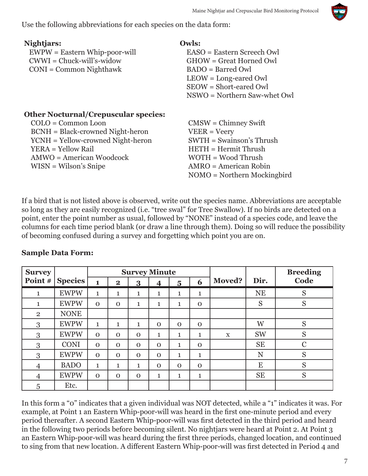Use the following abbreviations for each species on the data form:

| Nightjars:                                  | Owls:                                        |
|---------------------------------------------|----------------------------------------------|
| $EWPW = Eastern Whip-poor-will$             | EASO = Eastern Screech Owl                   |
| $CWWI = Chuck-will's-widow$                 | GHOW = Great Horned Owl                      |
| $CONI = Common Nighthawk$                   | $BADO = Barred$ Owl                          |
|                                             | $LEOW = Long\text{-}eared\ Qwl$              |
|                                             | SEOW = Short-eared Owl                       |
|                                             | $NSWO = Northern Saw-whiteOW$                |
| <b>Other Nocturnal/Crepuscular species:</b> |                                              |
| $COLO = Common$ Loon                        | $CMSW = Chimney Swift$                       |
| <b>BCNH</b> = Black-crowned Night-heron     | $VEER = Veery$                               |
| YCNH = Yellow-crowned Night-heron           | $SWTH = Swainson's Thrush$                   |
| YERA = Yellow Rail                          | $HETH = Hermit Thrush$                       |
| AMWO = American Woodcock                    | $WOTH = Wood Thrush$                         |
| $WISN = Wilson's Snipe$                     | $AMRO = American Robin$                      |
|                                             | $NOMO = \text{Northern} \text{ Mockingbird}$ |

If a bird that is not listed above is observed, write out the species name. Abbreviations are acceptable so long as they are easily recognized (i.e. "tree swal" for Tree Swallow). If no birds are detected on a point, enter the point number as usual, followed by "NONE" instead of a species code, and leave the columns for each time period blank (or draw a line through them). Doing so will reduce the possibility of becoming confused during a survey and forgetting which point you are on.

| <b>Survey</b>  |             |              |              | <b>Survey Minute</b> |              |                         |              |               |           | <b>Breeding</b> |
|----------------|-------------|--------------|--------------|----------------------|--------------|-------------------------|--------------|---------------|-----------|-----------------|
| Point #        | Species     | 1            | $\mathbf{2}$ | 3                    | 4            | $\overline{\mathbf{5}}$ | 6            | <b>Moved?</b> | Dir.      | Code            |
| 1              | <b>EWPW</b> | $\mathbf{1}$ | 1            | 1                    | 1            | 1                       | 1            |               | <b>NE</b> | S               |
| 1              | <b>EWPW</b> | $\mathbf{O}$ | $\Omega$     | 1                    | 1            | 1                       | $\mathbf{0}$ |               | S         | S               |
| $\overline{2}$ | <b>NONE</b> |              |              |                      |              |                         |              |               |           |                 |
| 3              | <b>EWPW</b> | $\mathbf{1}$ | 1            | 1                    | $\Omega$     | $\Omega$                | $\Omega$     |               | W         | S               |
| 3              | <b>EWPW</b> | $\Omega$     | $\Omega$     | $\Omega$             | $\mathbf 1$  | $\mathbf{1}$            | 1            | X             | <b>SW</b> | S               |
| 3              | <b>CONI</b> | $\mathbf{O}$ | $\mathbf{0}$ | $\mathbf{O}$         | $\mathbf{0}$ | 1                       | $\mathbf{0}$ |               | <b>SE</b> | $\mathbf C$     |
| 3              | <b>EWPW</b> | $\mathbf{O}$ | $\mathbf{0}$ | $\mathbf{O}$         | $\mathbf{0}$ | 1                       | 1            |               | N         | S               |
| 4              | <b>BADO</b> | $\mathbf{1}$ | 1            | 1                    | $\Omega$     | $\Omega$                | $\mathbf{0}$ |               | E         | S               |
| 4              | <b>EWPW</b> | $\mathbf{O}$ | $\Omega$     | $\mathbf{O}$         | 1            | $\mathbf{1}$            | 1            |               | <b>SE</b> | S               |
| 5              | Etc.        |              |              |                      |              |                         |              |               |           |                 |

#### **Sample Data Form:**

In this form a "0" indicates that a given individual was NOT detected, while a "1" indicates it was. For example, at Point 1 an Eastern Whip-poor-will was heard in the first one-minute period and every period thereafter. A second Eastern Whip-poor-will was first detected in the third period and heard in the following two periods before becoming silent. No nightjars were heard at Point 2. At Point 3 an Eastern Whip-poor-will was heard during the first three periods, changed location, and continued to sing from that new location. A different Eastern Whip-poor-will was first detected in Period 4 and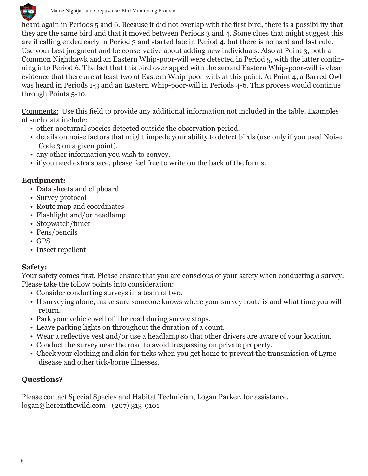

heard again in Periods 5 and 6. Because it did not overlap with the first bird, there is a possibility that they are the same bird and that it moved between Periods 3 and 4. Some clues that might suggest this are if calling ended early in Period 3 and started late in Period 4, but there is no hard and fast rule. Use your best judgment and be conservative about adding new individuals. Also at Point 3, both a Common Nighthawk and an Eastern Whip-poor-will were detected in Period 5, with the latter continuing into Period 6. The fact that this bird overlapped with the second Eastern Whip-poor-will is clear evidence that there are at least two of Eastern Whip-poor-wills at this point. At Point 4, a Barred Owl was heard in Periods 1-3 and an Eastern Whip-poor-will in Periods 4-6. This process would continue through Points 5-10.

Comments: Use this field to provide any additional information not included in the table. Examples of such data include:

- other nocturnal species detected outside the observation period.
- details on noise factors that might impede your ability to detect birds (use only if you used Noise Code 3 on a given point).
- any other information you wish to convey.
- if you need extra space, please feel free to write on the back of the forms.

#### **Equipment:**

- Data sheets and clipboard
- Survey protocol
- Route map and coordinates
- Flashlight and/or headlamp
- Stopwatch/timer
- Pens/pencils
- GPS
- Insect repellent

#### **Safety:**

Your safety comes first. Please ensure that you are conscious of your safety when conducting a survey. Please take the follow points into consideration:

- Consider conducting surveys in a team of two.
- If surveying alone, make sure someone knows where your survey route is and what time you will return.
- Park your vehicle well off the road during survey stops.
- Leave parking lights on throughout the duration of a count.
- Wear a reflective vest and/or use a headlamp so that other drivers are aware of your location.
- Conduct the survey near the road to avoid trespassing on private property.
- Check your clothing and skin for ticks when you get home to prevent the transmission of Lyme disease and other tick-borne illnesses.

#### **Questions?**

Please contact Special Species and Habitat Technician, Logan Parker, for assistance. logan@hereinthewild.com - (207) 313-9101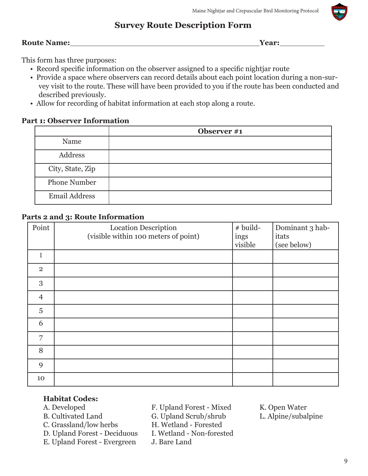#### **Survey Route Description Form**

#### **Route Name:** Year: **Year: Year: Year: Year: Year: Year: Year: Year: Year: Year: Year: Year: Year: Year: Year: Year: Year: Year: Year: Year: Year: Year: Year: Year: Year: Y**

This form has three purposes:

- Record specific information on the observer assigned to a specific nightjar route
- Provide a space where observers can record details about each point location during a non-survey visit to the route. These will have been provided to you if the route has been conducted and described previously.
- Allow for recording of habitat information at each stop along a route.

#### **Part 1: Observer Information**

|                      | Observer #1 |
|----------------------|-------------|
| Name                 |             |
| Address              |             |
| City, State, Zip     |             |
| <b>Phone Number</b>  |             |
| <b>Email Address</b> |             |

#### **Parts 2 and 3: Route Information**

| Point          | <b>Location Description</b><br>(visible within 100 meters of point) | # build-<br>ings<br>visible | Dominant 3 hab-<br>itats<br>(see below) |
|----------------|---------------------------------------------------------------------|-----------------------------|-----------------------------------------|
| $\mathbf{1}$   |                                                                     |                             |                                         |
|                |                                                                     |                             |                                         |
| $\overline{2}$ |                                                                     |                             |                                         |
| 3              |                                                                     |                             |                                         |
| $\overline{4}$ |                                                                     |                             |                                         |
| $\overline{5}$ |                                                                     |                             |                                         |
| 6              |                                                                     |                             |                                         |
| 7              |                                                                     |                             |                                         |
| 8              |                                                                     |                             |                                         |
| 9              |                                                                     |                             |                                         |
| 10             |                                                                     |                             |                                         |

# **Habitat Codes:**

- 
- 
- 
- D. Upland Forest Deciduous I. Wetland Non-forested
- E. Upland Forest Evergreen J. Bare Land
- 
- B. Cultivated Land G. Upland Scrub/shrub
- C. Grassland/low herbs H. Wetland Forested
	-
	-
- F. Upland Forest Mixed K. Open Water<br>G. Upland Scrub/shrub L. Alpine/subalpine
	-

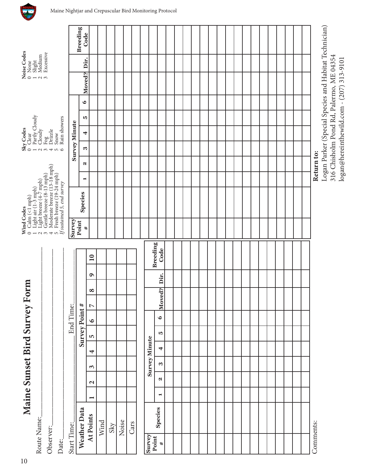| Route Name:           |              |                | Maine Sunset Bird Survey Form |                      |   |     |               |           |                              |           |                         |            | Wind Codes<br>0 Calm (<1 mph)<br>1 Light air (1-3 mph)<br>2 Light breeze (4-7 mph)<br>3 Gentle breeze (8-13 mph)                                                                                                                                |                |            |               | Clear<br>Partly Cloudy<br>$Sky$ Codes<br>0 Clear |   |           | $ \sim$ $\sim$                                                                      | Noise Codes<br>0 None<br>Slight<br>Medium |                                                       |
|-----------------------|--------------|----------------|-------------------------------|----------------------|---|-----|---------------|-----------|------------------------------|-----------|-------------------------|------------|-------------------------------------------------------------------------------------------------------------------------------------------------------------------------------------------------------------------------------------------------|----------------|------------|---------------|--------------------------------------------------|---|-----------|-------------------------------------------------------------------------------------|-------------------------------------------|-------------------------------------------------------|
| Observer:             |              |                |                               |                      |   |     |               |           |                              |           |                         |            | Moderate breeze (13-18 mph)<br>1 Light air $(1-\frac{3}{2}$ mph)<br>2 Light breeze $(4-\overline{7}$ mph)<br>3 Gentle breeze $(8\cdot 13$ mp<br>4 Moderate breeze $(13\cdot 18$<br>5 Fresh breeze $(19\cdot 24$ mp<br>5 Wastained 5, end survey |                |            | $\frac{1}{2}$ | Cloudy<br>Fog<br>Drizzle                         |   |           |                                                                                     | Excessive                                 |                                                       |
| Date:                 |              |                |                               |                      |   |     |               |           |                              |           |                         |            | Fresh breeze (19-24 mph)                                                                                                                                                                                                                        |                |            |               | Rain showers<br>Snow                             |   |           |                                                                                     |                                           |                                                       |
| Start Time:           |              |                |                               |                      |   |     |               | End Time: |                              |           |                         | Survey     |                                                                                                                                                                                                                                                 |                |            |               | <b>Survey Minute</b>                             |   |           |                                                                                     |                                           |                                                       |
|                       | Weather Data |                |                               |                      |   |     | Survey Point# |           |                              |           |                         | Point<br># | <b>Species</b>                                                                                                                                                                                                                                  | $\blacksquare$ | N          | 3             | 4                                                | S | $\bullet$ | Moved?                                                                              | Dir.                                      | <b>Breeding</b><br>Code                               |
|                       | At Points    | $\blacksquare$ | $\mathbf{z}$                  | $\epsilon$           | 4 | LO. | $\bullet$     |           | $\infty$<br>$\triangleright$ | $\bullet$ | $\overline{10}$         |            |                                                                                                                                                                                                                                                 |                |            |               |                                                  |   |           |                                                                                     |                                           |                                                       |
|                       | Wind         |                |                               |                      |   |     |               |           |                              |           |                         |            |                                                                                                                                                                                                                                                 |                |            |               |                                                  |   |           |                                                                                     |                                           |                                                       |
|                       | $\rm Sky$    |                |                               |                      |   |     |               |           |                              |           |                         |            |                                                                                                                                                                                                                                                 |                |            |               |                                                  |   |           |                                                                                     |                                           |                                                       |
|                       | Noise        |                |                               |                      |   |     |               |           |                              |           |                         |            |                                                                                                                                                                                                                                                 |                |            |               |                                                  |   |           |                                                                                     |                                           |                                                       |
|                       | Cars         |                |                               |                      |   |     |               |           |                              |           |                         |            |                                                                                                                                                                                                                                                 |                |            |               |                                                  |   |           |                                                                                     |                                           |                                                       |
|                       |              |                |                               |                      |   |     |               |           |                              |           |                         |            |                                                                                                                                                                                                                                                 |                |            |               |                                                  |   |           |                                                                                     |                                           |                                                       |
| Survey                |              |                |                               | <b>Survey Minute</b> |   |     |               |           |                              |           |                         |            |                                                                                                                                                                                                                                                 |                |            |               |                                                  |   |           |                                                                                     |                                           |                                                       |
| Point<br>$\pmb{\ast}$ | Species      | $\blacksquare$ | $\mathbf{N}$                  | S                    | 4 |     | r.            | $\bullet$ | Moved?                       | Dir.      | <b>Breeding</b><br>Code |            |                                                                                                                                                                                                                                                 |                |            |               |                                                  |   |           |                                                                                     |                                           |                                                       |
|                       |              |                |                               |                      |   |     |               |           |                              |           |                         |            |                                                                                                                                                                                                                                                 |                |            |               |                                                  |   |           |                                                                                     |                                           |                                                       |
|                       |              |                |                               |                      |   |     |               |           |                              |           |                         |            |                                                                                                                                                                                                                                                 |                |            |               |                                                  |   |           |                                                                                     |                                           |                                                       |
|                       |              |                |                               |                      |   |     |               |           |                              |           |                         |            |                                                                                                                                                                                                                                                 |                |            |               |                                                  |   |           |                                                                                     |                                           |                                                       |
|                       |              |                |                               |                      |   |     |               |           |                              |           |                         |            |                                                                                                                                                                                                                                                 |                |            |               |                                                  |   |           |                                                                                     |                                           |                                                       |
|                       |              |                |                               |                      |   |     |               |           |                              |           |                         |            |                                                                                                                                                                                                                                                 |                |            |               |                                                  |   |           |                                                                                     |                                           |                                                       |
|                       |              |                |                               |                      |   |     |               |           |                              |           |                         |            |                                                                                                                                                                                                                                                 |                |            |               |                                                  |   |           |                                                                                     |                                           |                                                       |
|                       |              |                |                               |                      |   |     |               |           |                              |           |                         |            |                                                                                                                                                                                                                                                 |                |            |               |                                                  |   |           |                                                                                     |                                           |                                                       |
|                       |              |                |                               |                      |   |     |               |           |                              |           |                         |            |                                                                                                                                                                                                                                                 |                |            |               |                                                  |   |           |                                                                                     |                                           |                                                       |
|                       |              |                |                               |                      |   |     |               |           |                              |           |                         |            |                                                                                                                                                                                                                                                 |                |            |               |                                                  |   |           |                                                                                     |                                           |                                                       |
|                       |              |                |                               |                      |   |     |               |           |                              |           |                         |            |                                                                                                                                                                                                                                                 |                |            |               |                                                  |   |           |                                                                                     |                                           |                                                       |
|                       |              |                |                               |                      |   |     |               |           |                              |           |                         |            |                                                                                                                                                                                                                                                 |                |            |               |                                                  |   |           |                                                                                     |                                           |                                                       |
|                       |              |                |                               |                      |   |     |               |           |                              |           |                         |            |                                                                                                                                                                                                                                                 |                |            |               |                                                  |   |           |                                                                                     |                                           |                                                       |
|                       |              |                |                               |                      |   |     |               |           |                              |           |                         |            |                                                                                                                                                                                                                                                 |                |            |               |                                                  |   |           |                                                                                     |                                           |                                                       |
|                       |              |                |                               |                      |   |     |               |           |                              |           |                         |            |                                                                                                                                                                                                                                                 |                |            |               |                                                  |   |           |                                                                                     |                                           |                                                       |
|                       |              |                |                               |                      |   |     |               |           |                              |           |                         |            |                                                                                                                                                                                                                                                 |                |            |               |                                                  |   |           |                                                                                     |                                           |                                                       |
|                       |              |                |                               |                      |   |     |               |           |                              |           |                         |            |                                                                                                                                                                                                                                                 |                |            |               |                                                  |   |           |                                                                                     |                                           |                                                       |
|                       |              |                |                               |                      |   |     |               |           |                              |           |                         |            |                                                                                                                                                                                                                                                 |                |            |               |                                                  |   |           |                                                                                     |                                           |                                                       |
| Comments:             |              |                |                               |                      |   |     |               |           |                              |           |                         |            |                                                                                                                                                                                                                                                 |                | Return to: |               |                                                  |   |           |                                                                                     |                                           |                                                       |
|                       |              |                |                               |                      |   |     |               |           |                              |           |                         |            |                                                                                                                                                                                                                                                 |                |            |               |                                                  |   |           |                                                                                     |                                           | Logan Parker (Special Species and Habitat Technician) |
|                       |              |                |                               |                      |   |     |               |           |                              |           |                         |            |                                                                                                                                                                                                                                                 |                |            |               |                                                  |   |           | 316 Chisholm Pond Rd, Palermo, ME 04354<br>logan@hereinthewild.com - (207) 313-9101 |                                           |                                                       |
|                       |              |                |                               |                      |   |     |               |           |                              |           |                         |            |                                                                                                                                                                                                                                                 |                |            |               |                                                  |   |           |                                                                                     |                                           |                                                       |

 $\mathbf{A}$ 

10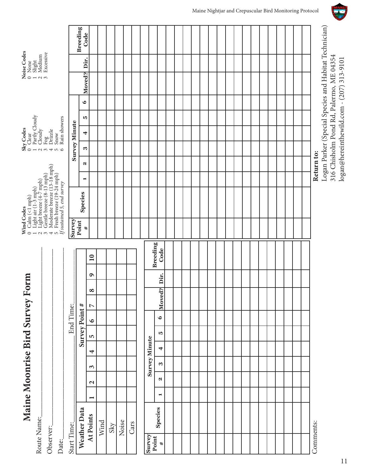| Route Name:     | Maine Moonrise Bird Survey  |                       |                   |                      |   |   |   |               |                  | Form     |   |                 |            | Wind Codes<br>$\begin{array}{c} 0 \quad \text{Calm} \ (\leq 1 \text{ mph}) \\ 1 \quad \text{Light air} \ (1-3 \text{ mp}) \end{array}$                                                                                                                                                                                                      |                |            |                      | $\begin{array}{lcl} \textbf{Sky Codes} & \\ \textbf{0} & \textbf{Clear} \\ \textbf{0} & \textbf{1} & \textbf{Partly Cloudy} \\ \textbf{1} & \textbf{Partly Cloudy} \\ \textbf{2} & \textbf{Cloudy} \\ \textbf{3} & \textbf{1} & \textbf{1} \\ \textbf{4} & \textbf{Drizzle} \\ \textbf{5} & \textbf{Show} \\ \textbf{6} & \textbf{Rain shows} \\ \end{array}$ |   |         |                                          | $\begin{array}{lcl} \textbf{Noise Codes} \\ \textbf{0} & \textbf{None} \\ \textbf{1} & \textbf{Slight} \\ \textbf{2} & \textbf{Median} \\ \textbf{3} & \textbf{Excessive} \end{array}$ |                                                       |
|-----------------|-----------------------------|-----------------------|-------------------|----------------------|---|---|---|---------------|------------------|----------|---|-----------------|------------|---------------------------------------------------------------------------------------------------------------------------------------------------------------------------------------------------------------------------------------------------------------------------------------------------------------------------------------------|----------------|------------|----------------------|---------------------------------------------------------------------------------------------------------------------------------------------------------------------------------------------------------------------------------------------------------------------------------------------------------------------------------------------------------------|---|---------|------------------------------------------|----------------------------------------------------------------------------------------------------------------------------------------------------------------------------------------|-------------------------------------------------------|
| Observer:       |                             |                       |                   |                      |   |   |   |               |                  |          |   |                 |            | $\begin{array}{ll} 1 & \text{Light} \ (1\cdot 5^{\text{min}}) \\ 2 & \text{Light breeze } (4\cdot 7 \text{ mph}) \\ 3 & \text{Gerth breeze } (8\cdot 13 \text{ mph}) \\ 4 & \text{Modern} (8\cdot 13 \text{ mph}) \\ 5 & \text{Fresh breeze } (19\cdot 24 \text{ mph}) \\ 5 & \text{Presh breeze } (19\cdot 24 \text{ mph}) \\ \end{array}$ |                |            |                      |                                                                                                                                                                                                                                                                                                                                                               |   |         |                                          |                                                                                                                                                                                        |                                                       |
| Date:           |                             |                       |                   |                      |   |   |   |               |                  |          |   |                 |            |                                                                                                                                                                                                                                                                                                                                             |                |            |                      | Rain showers                                                                                                                                                                                                                                                                                                                                                  |   |         |                                          |                                                                                                                                                                                        |                                                       |
| Start Time:     |                             |                       |                   |                      |   |   |   | End Time:     |                  |          |   |                 | Survey     |                                                                                                                                                                                                                                                                                                                                             |                |            | <b>Survey Minute</b> |                                                                                                                                                                                                                                                                                                                                                               |   |         |                                          |                                                                                                                                                                                        |                                                       |
|                 | Weather Data                |                       |                   |                      |   |   |   | Survey Point# |                  |          |   |                 | Point<br># | Species                                                                                                                                                                                                                                                                                                                                     | $\blacksquare$ | N          | S                    | 4                                                                                                                                                                                                                                                                                                                                                             | S | $\circ$ | Moved?                                   | Dir.                                                                                                                                                                                   | <b>Breeding</b><br>Code                               |
|                 | At Points                   | $\blacksquare$        | $\mathbf{\Omega}$ | $\epsilon$           | 4 | 5 |   | $\bullet$     | $\triangleright$ | $\infty$ | ۹ | $\overline{10}$ |            |                                                                                                                                                                                                                                                                                                                                             |                |            |                      |                                                                                                                                                                                                                                                                                                                                                               |   |         |                                          |                                                                                                                                                                                        |                                                       |
|                 | Wind                        |                       |                   |                      |   |   |   |               |                  |          |   |                 |            |                                                                                                                                                                                                                                                                                                                                             |                |            |                      |                                                                                                                                                                                                                                                                                                                                                               |   |         |                                          |                                                                                                                                                                                        |                                                       |
|                 | $\ensuremath{\mathrm{Sky}}$ |                       |                   |                      |   |   |   |               |                  |          |   |                 |            |                                                                                                                                                                                                                                                                                                                                             |                |            |                      |                                                                                                                                                                                                                                                                                                                                                               |   |         |                                          |                                                                                                                                                                                        |                                                       |
|                 | Noise                       |                       |                   |                      |   |   |   |               |                  |          |   |                 |            |                                                                                                                                                                                                                                                                                                                                             |                |            |                      |                                                                                                                                                                                                                                                                                                                                                               |   |         |                                          |                                                                                                                                                                                        |                                                       |
|                 | Cars                        |                       |                   |                      |   |   |   |               |                  |          |   |                 |            |                                                                                                                                                                                                                                                                                                                                             |                |            |                      |                                                                                                                                                                                                                                                                                                                                                               |   |         |                                          |                                                                                                                                                                                        |                                                       |
|                 |                             |                       |                   |                      |   |   |   |               |                  |          |   |                 |            |                                                                                                                                                                                                                                                                                                                                             |                |            |                      |                                                                                                                                                                                                                                                                                                                                                               |   |         |                                          |                                                                                                                                                                                        |                                                       |
| Survey<br>Point |                             |                       |                   | <b>Survey Minute</b> |   |   |   |               |                  |          |   | <b>Breeding</b> |            |                                                                                                                                                                                                                                                                                                                                             |                |            |                      |                                                                                                                                                                                                                                                                                                                                                               |   |         |                                          |                                                                                                                                                                                        |                                                       |
| $\pmb{\ast}$    | Species                     | $\blacktriangleright$ | N                 | S                    | 4 |   | S | $\bullet$     | Moved?           | Dir.     |   | Code            |            |                                                                                                                                                                                                                                                                                                                                             |                |            |                      |                                                                                                                                                                                                                                                                                                                                                               |   |         |                                          |                                                                                                                                                                                        |                                                       |
|                 |                             |                       |                   |                      |   |   |   |               |                  |          |   |                 |            |                                                                                                                                                                                                                                                                                                                                             |                |            |                      |                                                                                                                                                                                                                                                                                                                                                               |   |         |                                          |                                                                                                                                                                                        |                                                       |
|                 |                             |                       |                   |                      |   |   |   |               |                  |          |   |                 |            |                                                                                                                                                                                                                                                                                                                                             |                |            |                      |                                                                                                                                                                                                                                                                                                                                                               |   |         |                                          |                                                                                                                                                                                        |                                                       |
|                 |                             |                       |                   |                      |   |   |   |               |                  |          |   |                 |            |                                                                                                                                                                                                                                                                                                                                             |                |            |                      |                                                                                                                                                                                                                                                                                                                                                               |   |         |                                          |                                                                                                                                                                                        |                                                       |
|                 |                             |                       |                   |                      |   |   |   |               |                  |          |   |                 |            |                                                                                                                                                                                                                                                                                                                                             |                |            |                      |                                                                                                                                                                                                                                                                                                                                                               |   |         |                                          |                                                                                                                                                                                        |                                                       |
|                 |                             |                       |                   |                      |   |   |   |               |                  |          |   |                 |            |                                                                                                                                                                                                                                                                                                                                             |                |            |                      |                                                                                                                                                                                                                                                                                                                                                               |   |         |                                          |                                                                                                                                                                                        |                                                       |
|                 |                             |                       |                   |                      |   |   |   |               |                  |          |   |                 |            |                                                                                                                                                                                                                                                                                                                                             |                |            |                      |                                                                                                                                                                                                                                                                                                                                                               |   |         |                                          |                                                                                                                                                                                        |                                                       |
|                 |                             |                       |                   |                      |   |   |   |               |                  |          |   |                 |            |                                                                                                                                                                                                                                                                                                                                             |                |            |                      |                                                                                                                                                                                                                                                                                                                                                               |   |         |                                          |                                                                                                                                                                                        |                                                       |
|                 |                             |                       |                   |                      |   |   |   |               |                  |          |   |                 |            |                                                                                                                                                                                                                                                                                                                                             |                |            |                      |                                                                                                                                                                                                                                                                                                                                                               |   |         |                                          |                                                                                                                                                                                        |                                                       |
|                 |                             |                       |                   |                      |   |   |   |               |                  |          |   |                 |            |                                                                                                                                                                                                                                                                                                                                             |                |            |                      |                                                                                                                                                                                                                                                                                                                                                               |   |         |                                          |                                                                                                                                                                                        |                                                       |
|                 |                             |                       |                   |                      |   |   |   |               |                  |          |   |                 |            |                                                                                                                                                                                                                                                                                                                                             |                |            |                      |                                                                                                                                                                                                                                                                                                                                                               |   |         |                                          |                                                                                                                                                                                        |                                                       |
|                 |                             |                       |                   |                      |   |   |   |               |                  |          |   |                 |            |                                                                                                                                                                                                                                                                                                                                             |                |            |                      |                                                                                                                                                                                                                                                                                                                                                               |   |         |                                          |                                                                                                                                                                                        |                                                       |
|                 |                             |                       |                   |                      |   |   |   |               |                  |          |   |                 |            |                                                                                                                                                                                                                                                                                                                                             |                |            |                      |                                                                                                                                                                                                                                                                                                                                                               |   |         |                                          |                                                                                                                                                                                        |                                                       |
|                 |                             |                       |                   |                      |   |   |   |               |                  |          |   |                 |            |                                                                                                                                                                                                                                                                                                                                             |                |            |                      |                                                                                                                                                                                                                                                                                                                                                               |   |         |                                          |                                                                                                                                                                                        |                                                       |
|                 |                             |                       |                   |                      |   |   |   |               |                  |          |   |                 |            |                                                                                                                                                                                                                                                                                                                                             |                |            |                      |                                                                                                                                                                                                                                                                                                                                                               |   |         |                                          |                                                                                                                                                                                        |                                                       |
|                 |                             |                       |                   |                      |   |   |   |               |                  |          |   |                 |            |                                                                                                                                                                                                                                                                                                                                             |                |            |                      |                                                                                                                                                                                                                                                                                                                                                               |   |         |                                          |                                                                                                                                                                                        |                                                       |
|                 |                             |                       |                   |                      |   |   |   |               |                  |          |   |                 |            |                                                                                                                                                                                                                                                                                                                                             |                |            |                      |                                                                                                                                                                                                                                                                                                                                                               |   |         |                                          |                                                                                                                                                                                        |                                                       |
|                 |                             |                       |                   |                      |   |   |   |               |                  |          |   |                 |            |                                                                                                                                                                                                                                                                                                                                             |                |            |                      |                                                                                                                                                                                                                                                                                                                                                               |   |         |                                          |                                                                                                                                                                                        |                                                       |
| Comments:       |                             |                       |                   |                      |   |   |   |               |                  |          |   |                 |            |                                                                                                                                                                                                                                                                                                                                             |                | Return to: |                      |                                                                                                                                                                                                                                                                                                                                                               |   |         |                                          |                                                                                                                                                                                        |                                                       |
|                 |                             |                       |                   |                      |   |   |   |               |                  |          |   |                 |            |                                                                                                                                                                                                                                                                                                                                             |                |            |                      |                                                                                                                                                                                                                                                                                                                                                               |   |         |                                          |                                                                                                                                                                                        | Logan Parker (Special Species and Habitat Technician) |
|                 |                             |                       |                   |                      |   |   |   |               |                  |          |   |                 |            |                                                                                                                                                                                                                                                                                                                                             |                |            |                      |                                                                                                                                                                                                                                                                                                                                                               |   |         | 316 Chisholm Pond Rd, Palermo, ME 04354  |                                                                                                                                                                                        |                                                       |
|                 |                             |                       |                   |                      |   |   |   |               |                  |          |   |                 |            |                                                                                                                                                                                                                                                                                                                                             |                |            |                      |                                                                                                                                                                                                                                                                                                                                                               |   |         | logan@hereinthewild.com - (207) 313-9101 |                                                                                                                                                                                        |                                                       |

MAINE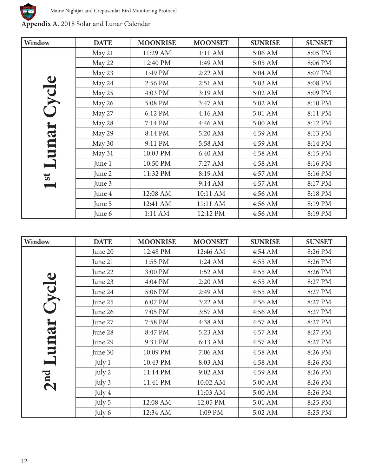

**Appendix A.** 2018 Solar and Lunar Calendar

| Window                  | <b>DATE</b> | <b>MOONRISE</b> | <b>MOONSET</b> | <b>SUNRISE</b> | <b>SUNSET</b> |
|-------------------------|-------------|-----------------|----------------|----------------|---------------|
| $\bullet$               | May 21      | 11:29 AM        | 1:11 AM        | 5:06 AM        | 8:05 PM       |
|                         | May 22      | 12:40 PM        | 1:49 AM        | 5:05 AM        | 8:06 PM       |
|                         | May 23      | 1:49 PM         | 2:22 AM        | 5:04 AM        | 8:07 PM       |
|                         | May 24      | 2:56 PM         | 2:51 AM        | 5:03 AM        | 8:08 PM       |
| <b>IDA</b>              | May 25      | 4:03 PM         | 3:19 AM        | 5:02 AM        | 8:09 PM       |
|                         | May 26      | 5:08 PM         | 3:47 AM        | 5:02 AM        | 8:10 PM       |
|                         | May 27      | 6:12 PM         | 4:16 AM        | 5:01 AM        | 8:11 PM       |
|                         | May 28      | 7:14 PM         | 4:46 AM        | 5:00 AM        | 8:12 PM       |
| una                     | May 29      | 8:14 PM         | 5:20 AM        | 4:59 AM        | 8:13 PM       |
|                         | May 30      | 9:11 PM         | 5:58 AM        | 4:59 AM        | 8:14 PM       |
|                         | May 31      | 10:03 PM        | 6:40 AM        | 4:58 AM        | 8:15 PM       |
|                         | June 1      | 10:50 PM        | 7:27 AM        | 4:58 AM        | 8:16 PM       |
| $\overline{\mathbf{s}}$ | June 2      | 11:32 PM        | 8:19 AM        | 4:57 AM        | 8:16 PM       |
|                         | June 3      |                 | 9:14 AM        | 4:57 AM        | 8:17 PM       |
|                         | June 4      | 12:08 AM        | 10:11 AM       | 4:56 AM        | 8:18 PM       |
|                         | June 5      | 12:41 AM        | 11:11 AM       | 4:56 AM        | 8:19 PM       |
|                         | June 6      | 1:11 AM         | 12:12 PM       | 4:56 AM        | 8:19 PM       |

| Window          | <b>DATE</b> | <b>MOONRISE</b> | <b>MOONSET</b> | <b>SUNRISE</b> | <b>SUNSET</b> |
|-----------------|-------------|-----------------|----------------|----------------|---------------|
|                 | June 20     | 12:48 PM        | 12:46 AM       | 4:54 AM        | 8:26 PM       |
| $\bullet$       | June 21     | 1:55 PM         | 1:24 AM        | 4:55 AM        | 8:26 PM       |
|                 | June 22     | 3:00 PM         | 1:52 AM        | 4:55 AM        | 8:26 PM       |
|                 | June 23     | 4:04 PM         | 2:20 AM        | 4:55 AM        | 8:27 PM       |
| <b>DA</b>       | June 24     | 5:06 PM         | 2:49 AM        | 4:55 AM        | 8:27 PM       |
|                 | June 25     | 6:07 PM         | 3:22 AM        | 4:56 AM        | 8:27 PM       |
|                 | June 26     | 7:05 PM         | 3:57 AM        | 4:56 AM        | 8:27 PM       |
|                 | June 27     | 7:58 PM         | 4:38 AM        | 4:57 AM        | 8:27 PM       |
| IJ              | June 28     | 8:47 PM         | 5:23 AM        | 4:57 AM        | 8:27 PM       |
| E               | June 29     | 9:31 PM         | 6:13 AM        | 4:57 AM        | 8:27 PM       |
|                 | June 30     | 10:09 PM        | 7:06 AM        | 4:58 AM        | 8:26 PM       |
|                 | July 1      | 10:43 PM        | 8:03 AM        | 4:58 AM        | 8:26 PM       |
|                 | July 2      | 11:14 PM        | 9:02 AM        | 4:59 AM        | 8:26 PM       |
| 2 <sup>nd</sup> | July 3      | 11:41 PM        | 10:02 AM       | 5:00 AM        | 8:26 PM       |
|                 | July 4      |                 | 11:03 AM       | 5:00 AM        | 8:26 PM       |
|                 | July 5      | 12:08 AM        | 12:05 PM       | 5:01 AM        | 8:25 PM       |
|                 | July 6      | 12:34 AM        | 1:09 PM        | 5:02 AM        | 8:25 PM       |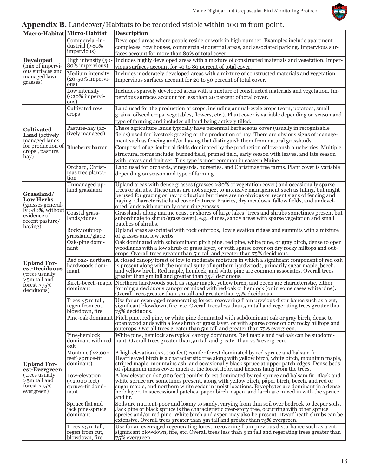

## **Appendix B.** Landcover/Habitats to be recorded visible within 100 m from point.

| Macro-Habitat Micro-Habitat                                                                                              |                                                                       | <b>Description</b>                                                                                                                                                                                                                                                                                                                                                                                                                               |
|--------------------------------------------------------------------------------------------------------------------------|-----------------------------------------------------------------------|--------------------------------------------------------------------------------------------------------------------------------------------------------------------------------------------------------------------------------------------------------------------------------------------------------------------------------------------------------------------------------------------------------------------------------------------------|
|                                                                                                                          | Commercial-in-<br>dustrial $($ >80%<br>impervious)                    | Developed areas where people reside or work in high number. Examples include apartment<br>complexes, row houses, commercial-industrial areas, and associated parking. Impervious sur-<br>faces account for more than 80% of total cover.                                                                                                                                                                                                         |
| <b>Developed</b><br>(mix of impervi-<br>ous surfaces and<br>managed lawn<br>grasses)                                     | High intensity (50-<br>80% impervious)                                | Includes highly developed areas with a mixture of constructed materials and vegetation. Imper-<br>vious surfaces account for 50 to 80 percent of total cover.                                                                                                                                                                                                                                                                                    |
|                                                                                                                          | Medium intensity<br>$(20-50\%$ impervi-<br>ous)                       | Includes moderately developed areas with a mixture of constructed materials and vegetation.<br>Impervious surfaces account for 20 to 50 percent of total cover.                                                                                                                                                                                                                                                                                  |
|                                                                                                                          | Low intensity<br>$(20\% impervi-$<br>ous)                             | Includes sparsely developed areas with a mixture of constructed materials and vegetation. Im-<br>pervious surfaces account for less than 20 percent of total cover.                                                                                                                                                                                                                                                                              |
| <b>Cultivated</b><br><b>Land</b> (actively<br>managed lands<br>for production of<br>crops, pasture,<br>hay)              | Cultivated row<br>crops                                               | Land used for the production of crops, including annual-cycle crops (corn, potatoes, small<br>grains, oilseed crops, vegetables, flowers, etc.). Plant cover is variable depending on season and<br>type of farming and includes all land being actively tilled.                                                                                                                                                                                 |
|                                                                                                                          | Pasture-hay (ac-<br>tively managed)                                   | These agriculture lands typically have perennial herbaceous cover (usually in recognizable<br>fields) used for livestock grazing or the production of hay. There are obvious signs of manage-<br>ment such as fencing and/or haying that distinguish them from natural grasslands.                                                                                                                                                               |
|                                                                                                                          | <b>Blueberry</b> barren                                               | Composed of agricultural fields dominated by the production of low-bush blueberries. Multiple<br>structural forms include: burned field, pruned field, early season with leaves, and late season<br>with leaves and fruit set. This type is most common in eastern Maine.                                                                                                                                                                        |
|                                                                                                                          | Orchard, Christ-<br>mas tree planta-<br>tion                          | Land used for orchards, vineyards, nurseries, and Christmas tree farms. Plant cover is variable<br>depending on season and type of farming.                                                                                                                                                                                                                                                                                                      |
| Grassland/<br><b>Low Herbs</b><br>(grasses general-<br>$ly > 80\%$ , without<br>evidence of<br>recent pasture/<br>haying | Unmanaged up-<br>land grassland                                       | Upland areas with dense grasses (grasses >80% of vegetation cover) and occasionally sparse<br>trees or shrubs. These areas are not subject to intensive management such as tilling, but might<br>be used for grazing or hay production but there are no obvious or recent signs of fencing and<br>haying. Characteristic land cover features: Prairies, dry meadows, fallow fields, and undevel-<br>oped lands with naturally occurring grasses. |
|                                                                                                                          | Coastal grass-<br>lands/dunes                                         | Grasslands along marine coast or shores of large lakes (trees and shrubs sometimes present but<br>subordinate to shrub/grass cover), e.g., dunes, sandy areas with sparse vegetation and small<br>patches of shrubs.                                                                                                                                                                                                                             |
|                                                                                                                          | Rocky outcrop<br>grassland/glade                                      | Upland areas associated with rock outcrops, low elevation ridges and summits with a mixture<br>of grasses and low herbs.                                                                                                                                                                                                                                                                                                                         |
|                                                                                                                          | Oak-pine domi-<br>nant                                                | Oak dominated with subdominant pitch pine, red pine, white pine, or gray birch, dense to open<br>woodlands with a low shrub or grass layer, or with sparse cover on dry rocky hilltops and out-<br>crops. Overall trees greater than 5m tall and greater than 75% deciduous.                                                                                                                                                                     |
| <b>Upland For-</b><br>est-Deciduous<br>(trees usually<br>$>5m$ tall and<br>forest $>75\%$<br>deciduous)                  | Red oak-northern<br>hardwoods dom-<br>inant                           | A closed canopy forest of low to moderate moisture in which a significant component of red oak<br>is present along with the normal suite of northern hardwoods, primarily sugar maple, beech,<br>and yellow birch. Red maple, hemlock, and white pine are common associates. Overall trees<br>greater than 5m tall and greater than 75% deciduous.                                                                                               |
|                                                                                                                          | dominant                                                              | Birch-beech-maple Northern hardwoods such as sugar maple, yellow birch, and beech are characteristic, either<br>forming a deciduous canopy or mixed with red oak or hemlock (or in some cases white pine).<br>Overall trees greater than 5m tall and greater than 75% deciduous.                                                                                                                                                                 |
|                                                                                                                          | Trees $<$ 5 m tall,<br>regen from cut,<br>blowdown, fire              | Use for an even-aged regenerating forest, recovering from previous disturbance such as a cut,<br>significant blowdown, fire, etc. Overall trees less than 5 m tall and regerating trees greater than<br>75% deciduous.                                                                                                                                                                                                                           |
| <b>Upland For-</b><br>est-Evergreen<br>(trees usually)<br>$>5m$ tall and<br>forest $>75\%$<br>evergreen)                 |                                                                       | Pine-oak dominant Pitch pine, red pine, or white pine dominated with subdominant oak or gray birch, dense to<br>open woodlands with a low shrub or grass layer, or with sparse cover on dry rocky hilltops and<br>outcrops. Overall trees greater than 5m tall and greater than 75% evergreen.                                                                                                                                                   |
|                                                                                                                          | Pine-hemlock<br>dominant with red<br>oak                              | White pine, hemlock are typical canopy dominants. Red maple and red oak can be subdomi-<br>nant. Overall trees greater than $5m$ tall and greater than $75\%$ evergreen.                                                                                                                                                                                                                                                                         |
|                                                                                                                          | Montane $(>2,000$<br>feet) spruce-fir<br>dominant)                    | A high elevation (>2,000 feet) conifer forest dominated by red spruce and balsam fir.<br>Heartleaved birch is a characteristic tree along with yellow birch, white birch, mountain maple,<br>striped maple, mountains ash, and occasionally black spruce at upper patch edges. Dense beds<br>of sphagnum moss cover much of the forest floor, and lichens hang from the trees.                                                                   |
|                                                                                                                          | Low-elevation<br>( <sub>2,000</sub> feet)<br>spruce-fir domi-<br>nant | A low elevation (<2,000 feet) conifer forest dominated by red spruce and balsam fir. Black and<br>white spruce are sometimes present, along with yellow birch, paper birch, beech, and red or<br>sugar maple, and northern white cedar in moist locations. Bryophytes are dominant in a dense<br>herb layer. In successional patches, paper birch, aspen, and larch are mixed in with the spruce<br>and fir.                                     |
|                                                                                                                          | Spruce flat and<br>jack pine-spruce<br>dominant                       | Soils are nutrient-poor and loamy to sandy, varying from thin soil over bedrock to deeper soils.<br>Jack pine or black spruce is the characteristic over-story tree, occurring with other spruce<br>species and/or red pine. White birch and aspen may also be present. Dwarf heath shrubs can be<br>extensive. Overall trees greater than 5m tall and greater than 75% evergreen.                                                               |
|                                                                                                                          | Trees $<$ 5 m tall,<br>regen from cut,<br>blowdown, fire              | Use for an even-aged regenerating forest, recovering from previous disturbance such as a cut,<br>significant blowdown, fire, etc. Overall trees less than 5 m tall and regerating trees greater than<br>75% evergreen.                                                                                                                                                                                                                           |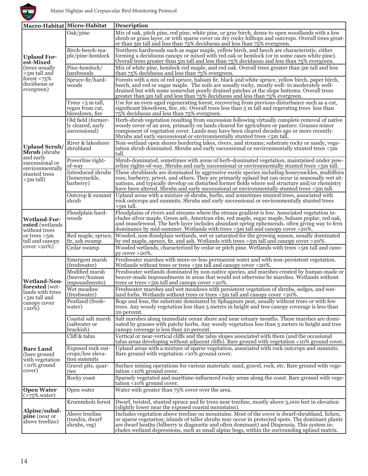

| Macro-Habitat Micro-Habitat                                                                                           |                                                          | <b>Description</b>                                                                                                                                                                                                                                                                                                                                                                                     |
|-----------------------------------------------------------------------------------------------------------------------|----------------------------------------------------------|--------------------------------------------------------------------------------------------------------------------------------------------------------------------------------------------------------------------------------------------------------------------------------------------------------------------------------------------------------------------------------------------------------|
| <b>Upland For-</b><br>est-Mixed<br>(trees usually)<br>$>5m$ tall and<br>forest $< 75\%$<br>deciduous or<br>evergreen) | Oak/pine                                                 | Mix of oak, pitch pine, red pine, white pine, or gray birch, dense to open woodlands with a low<br>shrub or grass layer, or with sparse cover on dry rocky hilltops and outcrops. Overall trees great-<br>er than 5m tall and less than 75% deciduous and less than 75% evergreen.                                                                                                                     |
|                                                                                                                       | Birch-beech-ma-<br>ple/pine-hemlock                      | Northern hardwoods such as sugar maple, yellow birch, and beech are characteristic, either<br>forming a deciduous canopy or mixed with red oak or hemlock (or in some cases white pine).<br>Overall trees greater than $\overline{5m}$ tall and less than $75\%$ deciduous and less than $75\%$ evergreen.                                                                                             |
|                                                                                                                       | Pine-hemlock/<br>hardwoods                               | Mix of white pine, hemlock red maple, and red oak. Overall trees greater than 5m tall and less<br>than $75\%$ deciduous and less than $75\%$ evergreen.                                                                                                                                                                                                                                                |
|                                                                                                                       | Spruce-fir/hard-<br>woods                                | Forests with a mix of red spruce, balsam fir, black and white spruce, yellow birch, paper birch,<br>beech, and red or sugar maple. The soils are usually rocky, mostly well- to moderately well-<br>drained but with some somewhat poorly drained patches at the slope bottoms. Overall trees<br>greater than 5m tall and less than 75% deciduous and less than 75% evergreen.                         |
|                                                                                                                       | Trees $<$ 5 m tall,<br>regen from cut,<br>blowdown, fire | Use for an even-aged regenerating forest, recovering from previous disturbance such as a cut,<br>significant blowdown, fire, etc. Overall trees less than 5 m fall and regerating trees less than<br>75% deciduous and less than 75% evergreen.                                                                                                                                                        |
| <b>Upland Scrub/</b><br><b>Shrub</b> (shrubs                                                                          | Old field (former-<br>ly cleared, early<br>successional) | Herb-shrub vegetation resulting from succession following virtually complete removal of native<br>woody cover of an area, primarily on lands cleared for agriculture or pasture. Grasses minor<br>component of vegetation cover. Lands may have been cleared decades ago or more recently.<br>Shrubs and early successional or environmentally stunted trees <5m tall.                                 |
|                                                                                                                       | River & lakeshore<br>shrubland                           | Non-wetland open shores bordering lakes, rivers, and streams; substrate rocky or sandy, vege-<br>tation shrub dominated. Shrubs and early successional or environmentally stunted trees <5m<br>tall.                                                                                                                                                                                                   |
| and early<br>successional or<br>environmentally                                                                       | Powerline right-<br>of-way                               | Shrub-dominated, sometimes with areas of herb-dominated vegetation, maintained under pow-<br>erline rights-of-way. Shrubs and early successional or environmentally stunted trees <5m tall.                                                                                                                                                                                                            |
| stunted trees<br><5m tall)                                                                                            | <b>Introduced shrubs</b><br>(honeysuckle,<br>barberry)   | These shrublands are dominated by aggressive exotic species including honeysuckles, multiflora<br>rose, barberry, privet, and others. They are primarily upland but can occur in seasonally wet sit-<br>uations, and typically develop on disturbed former fields where soil structure and/or chemistry<br>have been altered. Shrubs and early successional or environmentally stunted trees <5m tall. |
|                                                                                                                       | Outcrop & summit<br>shrub                                | Upland areas with a mixture of shrubs, herbs, and sometimes stunted trees, associated with<br>rock outcrops and summits. Shrubs and early successional or environmentally stunted trees<br>$<$ 5m tall.                                                                                                                                                                                                |
| <b>Wetland-For-</b><br>ested (wetlands)<br>without trees                                                              | Floodplain hard-<br>woods                                | Floodplains of rivers and streams where the stream gradient is low. Associated vegetation in-<br>cludes silver maple, Green ash, American elm, red maple, sugar maple, balsam poplar, red oak,<br>and musclewood. The herb layer includes abundant spring ephemerals, often giving way to fern<br>dominance by mid-summer. Wetlands with trees $>5m$ tall and canopy cover $>20\%$ .                   |
| or trees $>5m$<br>tall and canopy<br>$cover > 20\%)$                                                                  | Red maple, spruce,<br>fir, ash swamp                     | Wooded, non-floodplain wetlands, wet or saturated for the growing season, usually dominated<br>by red maple, spruce, fir, and ash. Wetlands with trees $>5m$ tall and canopy cover $>20\%$ .                                                                                                                                                                                                           |
|                                                                                                                       | Cedar swamp                                              | Wooded wetlands, characterized by cedar or pitch pine. Wetlands with trees $>5m$ tall and cano-<br>py cover $>20\%$ .                                                                                                                                                                                                                                                                                  |
|                                                                                                                       | Emergent marsh<br>(freshwater)                           | Freshwater marshes with more-or-less permanent water and with non-persistent vegetation.<br>Wetlands without trees or trees <5m tall and canopy cover <20%.                                                                                                                                                                                                                                            |
| <b>Wetland-Non-</b><br>forested (wet-                                                                                 | Modified marsh<br>(beaver/human)<br>impoundments)        | Freshwater wetlands dominated by non-native species, and marshes created by human-made or<br>beaver-made impoundments in areas that would not otherwise be marshes. Wetlands without<br>trees or trees <5m tall and canopy cover <20%.                                                                                                                                                                 |
| lands with trees                                                                                                      | Wet meadow<br>(freshwater)                               | Freshwater marshes and wet meadows with persistent vegetation of shrubs, sedges, and wet-<br>land forbs. Wetlands without trees or trees $\zeta$ 5m tall and canopy cover <20%.                                                                                                                                                                                                                        |
| $<$ 5m tall and<br>canopy cover<br>$\langle 20\% \rangle$                                                             | Peatland (fresh-<br>water)                               | Bogs and fens, the substrate dominated by Sphagnum peat, usually without trees or with few<br>trees. Any woody vegetation less than 5 meters in height and tree canopy coverage is less than<br>20 percent.                                                                                                                                                                                            |
|                                                                                                                       | Coastal salt marsh<br>(saltwater or<br>brackish)         | Salt marshes along immediate ocean shore and near estuary mouths. These marshes are domi-<br>nated by grasses with patchy herbs. Any woody vegetation less than 5 meters in height and tree<br>canopy coverage is less than 20 percent.                                                                                                                                                                |
| <b>Bare Land</b><br>(bare ground<br>with vegetation<br><10% ground<br>cover)                                          | Cliff & talus                                            | Vertical or near-vertical cliffs and the talus slopes associated with them (and the occasional<br>talus areas developing without adjacent cliffs). Bare ground with vegetation <10% ground cover.                                                                                                                                                                                                      |
|                                                                                                                       | Exposed rock out-<br>crops/low eleva-<br>tion summits    | Upland areas with a mixture of sparse vegetation, associated with rock outcrops and summits.<br>Bare ground with vegetation <10% ground cover.                                                                                                                                                                                                                                                         |
|                                                                                                                       | Gravel pits, quar-<br>ries                               | Surface mining operations for various materials: sand, gravel, rock, etc. Bare ground with vege-<br>tation <10% ground cover.                                                                                                                                                                                                                                                                          |
|                                                                                                                       | Rocky coast                                              | Sparsely vegetated and maritime-influenced rocky areas along the coast. Bare ground with vege-<br>tation <10% ground cover.                                                                                                                                                                                                                                                                            |
| <b>Open Water</b><br>$($ >75% water $)$                                                                               | Open water                                               | Water with greater than 75% cover over the area.                                                                                                                                                                                                                                                                                                                                                       |
| Alpine/subal-<br>pine (near or<br>above treeline)                                                                     | Krummholz forest                                         | Dwarf, twisted, stunted spruce and fir trees near treeline, mostly above 3,000 feet in elevation<br>(slightly lower near the exposed coastal mountains)                                                                                                                                                                                                                                                |
|                                                                                                                       | Above treeline<br>(tundra, dwarf<br>shrubs, veg)         | Includes vegetation above treeline on mountains. Most of the cover is dwarf-shrubland, lichen,<br>or sparse vegetation; islands of taller shrubs may occur in protected spots. The dominant plants<br>are dwarf heaths (bilberry is diagnostic and often dominant) and Diapensia. This system in-<br>cludes wetland depressions, such as small alpine bogs, within the surrounding upland matrix.      |